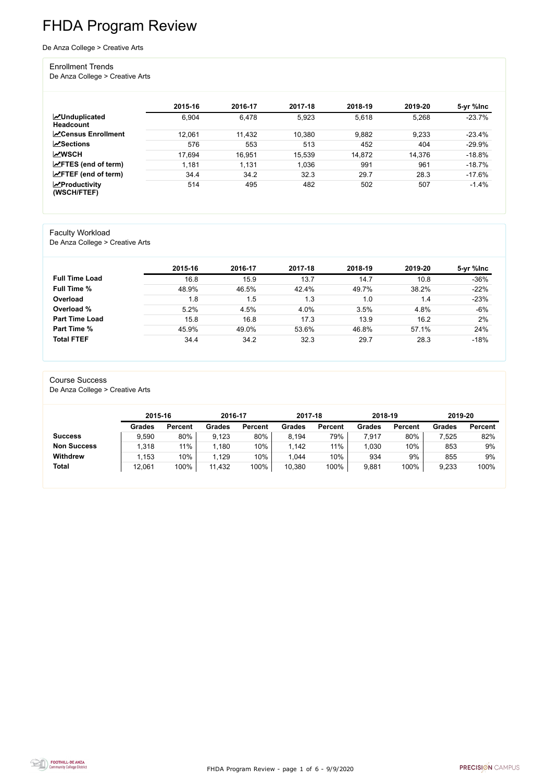FHDA Program Review - page 1 of 6 - 9/9/2020



# FHDA Program Review

#### De Anza College > Creative Arts

#### Enrollment Trends

De Anza College > Creative Arts

|                                          | 2015-16 | 2016-17 | 2017-18 | 2018-19 | 2019-20 | 5-yr %lnc |
|------------------------------------------|---------|---------|---------|---------|---------|-----------|
| <b>MUnduplicated</b><br><b>Headcount</b> | 6,904   | 6,478   | 5,923   | 5,618   | 5,268   | $-23.7%$  |
| <b>∠</b> Census Enrollment               | 12,061  | 11,432  | 10,380  | 9,882   | 9,233   | $-23.4%$  |
| <b>ZSections</b>                         | 576     | 553     | 513     | 452     | 404     | $-29.9%$  |
| <b>MWSCH</b>                             | 17,694  | 16,951  | 15,539  | 14,872  | 14,376  | $-18.8%$  |
| $\angle$ FTES (end of term)              | 1,181   | 1,131   | 1,036   | 991     | 961     | $-18.7%$  |
| $\angle$ FTEF (end of term)              | 34.4    | 34.2    | 32.3    | 29.7    | 28.3    | $-17.6%$  |
| $\chi$ Productivity<br>(WSCH/FTEF)       | 514     | 495     | 482     | 502     | 507     | $-1.4%$   |

#### Faculty Workload

De Anza College > Creative Arts

|                       | 2015-16 | 2016-17 | 2017-18 | 2018-19 | 2019-20 | 5-yr %lnc |
|-----------------------|---------|---------|---------|---------|---------|-----------|
| <b>Full Time Load</b> | 16.8    | 15.9    | 13.7    | 14.7    | 10.8    | $-36%$    |
| <b>Full Time %</b>    | 48.9%   | 46.5%   | 42.4%   | 49.7%   | 38.2%   | $-22%$    |
| Overload              | 1.8     | 1.5     | 1.3     | 1.0     | 1.4     | $-23%$    |
| Overload %            | 5.2%    | 4.5%    | 4.0%    | 3.5%    | 4.8%    | $-6%$     |
| <b>Part Time Load</b> | 15.8    | 16.8    | 17.3    | 13.9    | 16.2    | 2%        |
| <b>Part Time %</b>    | 45.9%   | 49.0%   | 53.6%   | 46.8%   | 57.1%   | 24%       |
| <b>Total FTEF</b>     | 34.4    | 34.2    | 32.3    | 29.7    | 28.3    | $-18%$    |

#### Course Success

De Anza College > Creative Arts

|                    |               | 2015-16        |               | 2016-17        | 2017-18       |                | 2018-19       |                | 2019-20       |                |
|--------------------|---------------|----------------|---------------|----------------|---------------|----------------|---------------|----------------|---------------|----------------|
|                    | <b>Grades</b> | <b>Percent</b> | <b>Grades</b> | <b>Percent</b> | <b>Grades</b> | <b>Percent</b> | <b>Grades</b> | <b>Percent</b> | <b>Grades</b> | <b>Percent</b> |
| <b>Success</b>     | 9,590         | 80%            | 9,123         | $80\%$         | 8,194         | 79%            | 7,917         | 80%            | 7,525         | 82%            |
| <b>Non Success</b> | 1,318         | 11%            | 1,180         | 10%            | 1,142         | 11%            | 1,030         | 10%            | 853           | 9%             |
| <b>Withdrew</b>    | 1,153         | 10%            | 1,129         | 10%            | 1,044         | 10%            | 934           | 9%             | 855           | 9%             |
| <b>Total</b>       | 12,061        | 100%           | 11,432        | 100%           | 10,380        | 100%           | 9,881         | 100%           | 9,233         | 100%           |

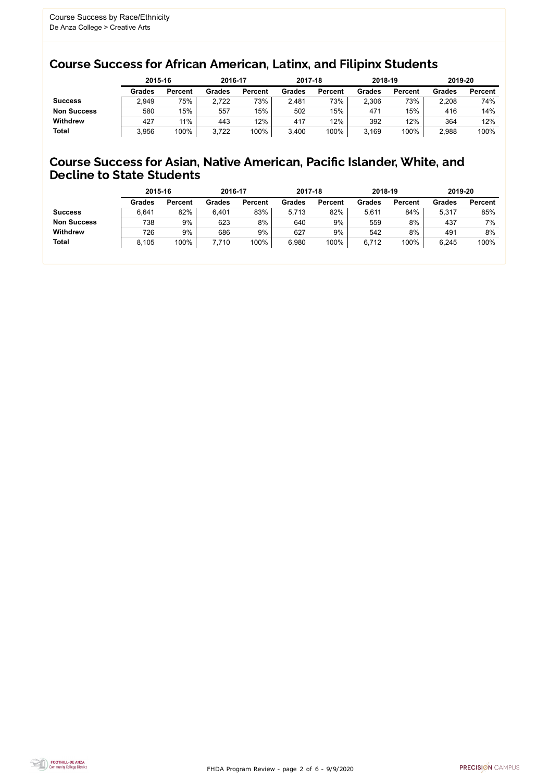FHDA Program Review - page 2 of 6 - 9/9/2020



### Course Success for African American, Latinx, and Filipinx Students

#### Course Success for Asian, Native American, Pacific Islander, White, and Decline to State Students

|                    |               | 2015-16        |               | 2016-17        |               | 2017-18        | 2018-19       |                | 2019-20       |                |
|--------------------|---------------|----------------|---------------|----------------|---------------|----------------|---------------|----------------|---------------|----------------|
|                    | <b>Grades</b> | <b>Percent</b> | <b>Grades</b> | <b>Percent</b> | <b>Grades</b> | <b>Percent</b> | <b>Grades</b> | <b>Percent</b> | <b>Grades</b> | <b>Percent</b> |
| <b>Success</b>     | 2,949         | 75%            | 2,722         | 73%            | 2,481         | 73%            | 2,306         | 73%            | 2,208         | 74%            |
| <b>Non Success</b> | 580           | 15%            | 557           | 15%            | 502           | 15%            | 471           | 15%            | 416           | 14%            |
| <b>Withdrew</b>    | 427           | 11%            | 443           | 12%            | 417           | 12%            | 392           | 12%            | 364           | 12%            |
| <b>Total</b>       | 3,956         | 100%           | 3,722         | 100%           | 3,400         | 100%           | 3,169         | 100%           | 2,988         | 100%           |

|                    | 2015-16       |                | 2016-17       |                | 2017-18       |                | 2018-19       |                | 2019-20       |                |
|--------------------|---------------|----------------|---------------|----------------|---------------|----------------|---------------|----------------|---------------|----------------|
|                    | <b>Grades</b> | <b>Percent</b> | <b>Grades</b> | <b>Percent</b> | <b>Grades</b> | <b>Percent</b> | <b>Grades</b> | <b>Percent</b> | <b>Grades</b> | <b>Percent</b> |
| <b>Success</b>     | 6,641         | 82%            | 6,401         | 83%            | 5.713         | 82%            | 5,611         | 84%            | 5,317         | 85%            |
| <b>Non Success</b> | 738           | 9%             | 623           | 8%             | 640           | 9%             | 559           | 8%             | 437           | 7%             |
| <b>Withdrew</b>    | 726           | 9%             | 686           | 9%             | 627           | 9%             | 542           | 8%             | 491           | 8%             |
| <b>Total</b>       | 8,105         | 100%           | 7,710         | 100%           | 6,980         | 100%           | 6,712         | 100%           | 6,245         | 100%           |
|                    |               |                |               |                |               |                |               |                |               |                |

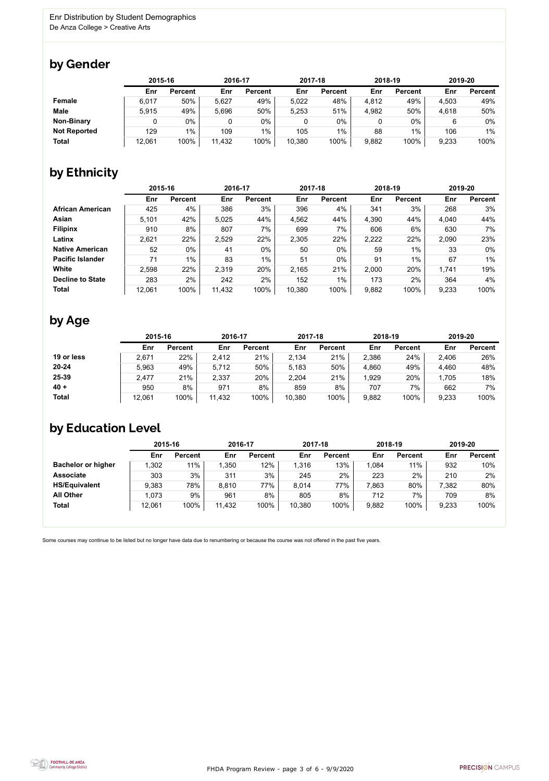FHDA Program Review - page 3 of 6 - 9/9/2020



Some courses may continue to be listed but no longer have data due to renumbering or because the course was not offered in the past five years.



### by Gender

|                     |        | 2015-16        |        | 2016-17        |        | 2017-18        |       | 2018-19        |       | 2019-20        |  |
|---------------------|--------|----------------|--------|----------------|--------|----------------|-------|----------------|-------|----------------|--|
|                     | Enr    | <b>Percent</b> | Enr    | <b>Percent</b> | Enr    | <b>Percent</b> | Enr   | <b>Percent</b> | Enr   | <b>Percent</b> |  |
| <b>Female</b>       | 6,017  | 50%            | 5,627  | 49%            | 5,022  | 48%            | 4,812 | 49%            | 4,503 | 49%            |  |
| <b>Male</b>         | 5.915  | 49%            | 5,696  | 50%            | 5,253  | 51%            | 4,982 | 50%            | 4,618 | 50%            |  |
| <b>Non-Binary</b>   |        | 0%             |        | 0%             | 0      | 0%             |       | $0\%$          |       | 0%             |  |
| <b>Not Reported</b> | 129    | 1%             | 109    | $1\%$          | 105    | $1\%$          | 88    | $1\%$          | 106   | $1\%$          |  |
| <b>Total</b>        | 12,061 | 100%           | 11,432 | 100%           | 10,380 | 100%           | 9,882 | 100%           | 9,233 | 100%           |  |

# by Ethnicity

|                         | 2015-16 |                | 2016-17 |                | 2017-18 |                | 2018-19 |                | 2019-20 |                |
|-------------------------|---------|----------------|---------|----------------|---------|----------------|---------|----------------|---------|----------------|
|                         | Enr     | <b>Percent</b> | Enr     | <b>Percent</b> | Enr     | <b>Percent</b> | Enr     | <b>Percent</b> | Enr     | <b>Percent</b> |
| <b>African American</b> | 425     | 4%             | 386     | 3%             | 396     | 4%             | 341     | 3%             | 268     | 3%             |
| Asian                   | 5,101   | 42%            | 5,025   | 44%            | 4,562   | 44%            | 4,390   | 44%            | 4,040   | 44%            |
| <b>Filipinx</b>         | 910     | 8%             | 807     | 7%             | 699     | 7%             | 606     | 6%             | 630     | 7%             |
| Latinx                  | 2,621   | 22%            | 2,529   | 22%            | 2,305   | 22%            | 2,222   | 22%            | 2,090   | 23%            |
| <b>Native American</b>  | 52      | $0\%$          | 41      | $0\%$          | 50      | $0\%$          | 59      | 1%             | 33      | $0\%$          |
| <b>Pacific Islander</b> | 71      | $1\%$          | 83      | $1\%$          | 51      | $0\%$          | 91      | 1%             | 67      | 1%             |
| White                   | 2,598   | 22%            | 2,319   | 20%            | 2,165   | 21%            | 2,000   | 20%            | 1,741   | 19%            |
| <b>Decline to State</b> | 283     | 2%             | 242     | 2%             | 152     | $1\%$          | 173     | 2%             | 364     | 4%             |
| <b>Total</b>            | 12,061  | 100%           | 11,432  | 100%           | 10,380  | 100%           | 9,882   | 100%           | 9,233   | 100%           |

### by Age

|              | 2015-16 |                | 2016-17 |                | 2017-18 |                | 2018-19 |                | 2019-20 |                |
|--------------|---------|----------------|---------|----------------|---------|----------------|---------|----------------|---------|----------------|
|              | Enr     | <b>Percent</b> | Enr     | <b>Percent</b> | Enr     | <b>Percent</b> | Enr     | <b>Percent</b> | Enr     | <b>Percent</b> |
| 19 or less   | 2,671   | 22%            | 2,412   | 21%            | 2,134   | 21%            | 2,386   | 24%            | 2,406   | 26%            |
| $20 - 24$    | 5.963   | 49%            | 5,712   | 50%            | 5,183   | 50%            | 4,860   | 49%            | 4,460   | 48%            |
| 25-39        | 2,477   | 21%            | 2,337   | 20%            | 2,204   | 21%            | 1,929   | 20%            | 1,705   | 18%            |
| $40 +$       | 950     | 8%             | 971     | 8%             | 859     | 8%             | 707     | 7%             | 662     | 7%             |
| <b>Total</b> | 12,061  | 100%           | 11,432  | 100%           | 10,380  | 100%           | 9,882   | 100%           | 9,233   | 100%           |

## by Education Level

|                           | 2015-16 |                | 2016-17 |                | 2017-18 |                | 2018-19 |                | 2019-20 |                |
|---------------------------|---------|----------------|---------|----------------|---------|----------------|---------|----------------|---------|----------------|
|                           | Enr     | <b>Percent</b> | Enr     | <b>Percent</b> | Enr     | <b>Percent</b> | Enr     | <b>Percent</b> | Enr     | <b>Percent</b> |
| <b>Bachelor or higher</b> | .302    | 11%            | ,350    | 12%            | 1,316   | 13%            | 1,084   | 11%            | 932     | 10%            |
| <b>Associate</b>          | 303     | 3%             | 311     | 3%             | 245     | 2%             | 223     | 2%             | 210     | 2%             |
| <b>HS/Equivalent</b>      | 9,383   | 78%            | 8,810   | 77%            | 8,014   | 77%            | 7,863   | 80%            | 7,382   | 80%            |
| <b>All Other</b>          | 1,073   | 9%             | 961     | 8%             | 805     | 8%             | 712     | 7%             | 709     | 8%             |
| <b>Total</b>              | 12,061  | 100%           | 11,432  | 100%           | 10,380  | 100%           | 9,882   | 100%           | 9,233   | 100%           |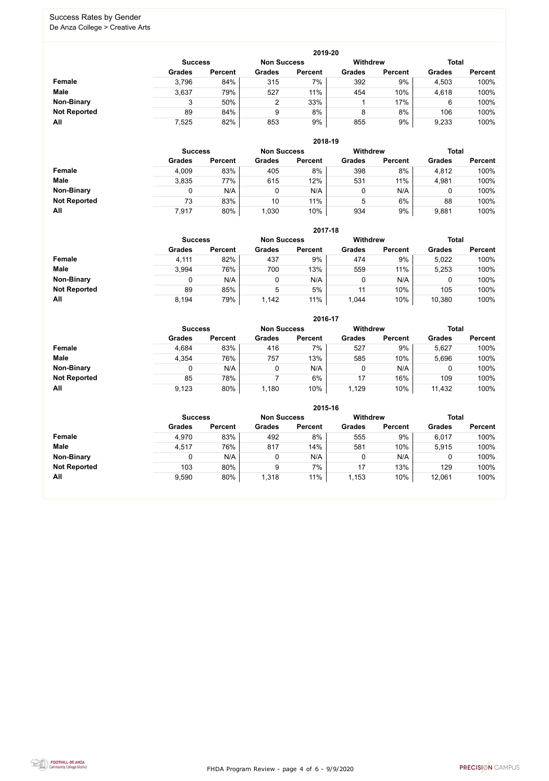FHDA Program Review - page 4 of 6 - 9/9/2020



#### Success Rates by Gender De Anza College > Creative Arts

|                     |                | 2019-20        |                    |                |                 |                |               |                |  |  |  |  |  |  |
|---------------------|----------------|----------------|--------------------|----------------|-----------------|----------------|---------------|----------------|--|--|--|--|--|--|
|                     | <b>Success</b> |                | <b>Non Success</b> |                | <b>Withdrew</b> |                | <b>Total</b>  |                |  |  |  |  |  |  |
|                     | <b>Grades</b>  | <b>Percent</b> | <b>Grades</b>      | <b>Percent</b> | <b>Grades</b>   | <b>Percent</b> | <b>Grades</b> | <b>Percent</b> |  |  |  |  |  |  |
| Female              | 3,796          | 84%            | 315                | 7%             | 392             | 9%             | 4,503         | 100%           |  |  |  |  |  |  |
| <b>Male</b>         | 3,637          | 79%            | 527                | 11%            | 454             | 10%            | 4,618         | 100%           |  |  |  |  |  |  |
| <b>Non-Binary</b>   |                | 50%            | $\overline{2}$     | 33%            |                 | 17%            | 6             | 100%           |  |  |  |  |  |  |
| <b>Not Reported</b> | 89             | 84%            | 9                  | 8%             | 8               | 8%             | 106           | 100%           |  |  |  |  |  |  |
| All                 | 7,525          | 82%            | 853                | 9%             | 855             | 9%             | 9,233         | 100%           |  |  |  |  |  |  |

|                     |               | 2018-19                              |               |                |               |                 |               |                |  |  |  |  |  |
|---------------------|---------------|--------------------------------------|---------------|----------------|---------------|-----------------|---------------|----------------|--|--|--|--|--|
|                     |               | <b>Non Success</b><br><b>Success</b> |               |                |               | <b>Withdrew</b> | <b>Total</b>  |                |  |  |  |  |  |
|                     | <b>Grades</b> | <b>Percent</b>                       | <b>Grades</b> | <b>Percent</b> | <b>Grades</b> | <b>Percent</b>  | <b>Grades</b> | <b>Percent</b> |  |  |  |  |  |
| Female              | 4,009         | 83%                                  | 405           | 8%             | 398           | 8%              | 4,812         | 100%           |  |  |  |  |  |
| <b>Male</b>         | 3,835         | 77%                                  | 615           | 12%            | 531           | 11%             | 4,981         | 100%           |  |  |  |  |  |
| <b>Non-Binary</b>   |               | N/A                                  | 0             | N/A            | 0             | N/A             |               | 100%           |  |  |  |  |  |
| <b>Not Reported</b> | 73            | 83%                                  | 10            | 11%            | 5             | 6%              | 88            | 100%           |  |  |  |  |  |
| All                 | 7,917         | 80%                                  | 1,030         | 10%            | 934           | 9%              | 9,881         | 100%           |  |  |  |  |  |

|                     |               |                                      |               | 2017-18        |               |                |               |                |
|---------------------|---------------|--------------------------------------|---------------|----------------|---------------|----------------|---------------|----------------|
|                     |               | <b>Non Success</b><br><b>Success</b> |               |                |               |                | <b>Total</b>  |                |
|                     | <b>Grades</b> | <b>Percent</b>                       | <b>Grades</b> | <b>Percent</b> | <b>Grades</b> | <b>Percent</b> | <b>Grades</b> | <b>Percent</b> |
| Female              | 4,111         | 82%                                  | 437           | 9%             | 474           | 9%             | 5,022         | 100%           |
| <b>Male</b>         | 3,994         | 76%                                  | 700           | 13%            | 559           | 11%            | 5,253         | 100%           |
| <b>Non-Binary</b>   | 0             | N/A                                  | 0             | N/A            | 0             | N/A            |               | 100%           |
| <b>Not Reported</b> | 89            | 85%                                  | 5             | 5%             | 11            | 10%            | 105           | 100%           |
| All                 | 8,194         | 79%                                  | 1,142         | 11%            | 1,044         | 10%            | 10,380        | 100%           |

|                     |               |                |               | 2016-17            |                 |                |               |                |
|---------------------|---------------|----------------|---------------|--------------------|-----------------|----------------|---------------|----------------|
|                     |               | <b>Success</b> |               | <b>Non Success</b> | <b>Withdrew</b> |                | <b>Total</b>  |                |
|                     | <b>Grades</b> | <b>Percent</b> | <b>Grades</b> | <b>Percent</b>     | <b>Grades</b>   | <b>Percent</b> | <b>Grades</b> | <b>Percent</b> |
| <b>Female</b>       | 4,684         | 83%            | 416           | 7%                 | 527             | 9%             | 5,627         | 100%           |
| <b>Male</b>         | 4,354         | 76%            | 757           | 13%                | 585             | 10%            | 5,696         | 100%           |
| <b>Non-Binary</b>   | 0             | N/A            |               | N/A                | 0               | N/A            | 0             | 100%           |
| <b>Not Reported</b> | 85            | 78%            |               | 6%                 | 17              | 16%            | 109           | 100%           |
| All                 | 9,123         | 80%            | 1,180         | 10%                | 1,129           | 10%            | 11,432        | 100%           |

|                     |                |                |                    | 2015-16        |                 |                |               |                |
|---------------------|----------------|----------------|--------------------|----------------|-----------------|----------------|---------------|----------------|
|                     | <b>Success</b> |                | <b>Non Success</b> |                | <b>Withdrew</b> |                | <b>Total</b>  |                |
|                     | <b>Grades</b>  | <b>Percent</b> | <b>Grades</b>      | <b>Percent</b> | <b>Grades</b>   | <b>Percent</b> | <b>Grades</b> | <b>Percent</b> |
| Female              | 4,970          | 83%            | 492                | 8%             | 555             | 9%             | 6,017         | 100%           |
| <b>Male</b>         | 4,517          | 76%            | 817                | 14%            | 581             | 10%            | 5,915         | 100%           |
| <b>Non-Binary</b>   |                | N/A            | 0                  | N/A            |                 | N/A            | 0             | 100%           |
| <b>Not Reported</b> | 103            | 80%            | 9                  | $7\%$          | 17              | 13%            | 129           | 100%           |
| All                 | 9,590          | 80%            | 1,318              | 11%            | 1,153           | 10%            | 12,061        | 100%           |

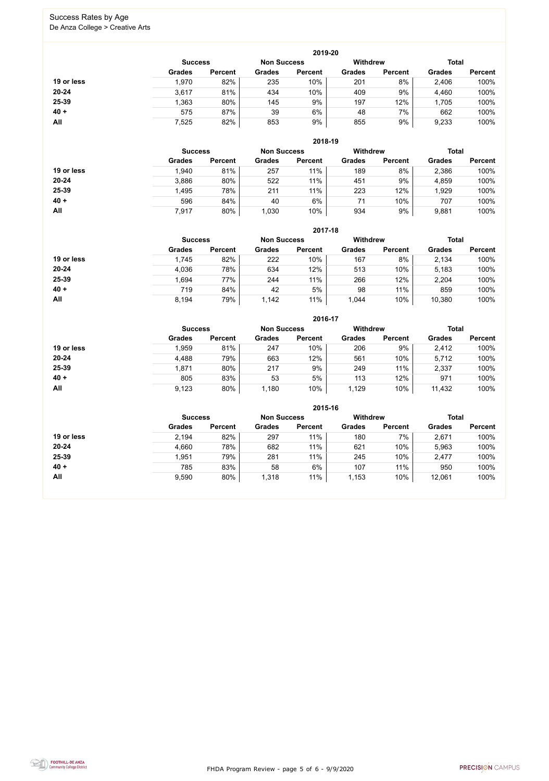FHDA Program Review - page 5 of 6 - 9/9/2020



#### Success Rates by Age De Anza College > Creative Arts

|            |                |                |                    | 2019-20        |               |                 |               |                |  |
|------------|----------------|----------------|--------------------|----------------|---------------|-----------------|---------------|----------------|--|
|            | <b>Success</b> |                | <b>Non Success</b> |                |               | <b>Withdrew</b> |               | <b>Total</b>   |  |
|            | <b>Grades</b>  | <b>Percent</b> | <b>Grades</b>      | <b>Percent</b> | <b>Grades</b> | <b>Percent</b>  | <b>Grades</b> | <b>Percent</b> |  |
| 19 or less | 1,970          | 82%            | 235                | 10%            | 201           | 8%              | 2,406         | 100%           |  |
| $20 - 24$  | 3,617          | 81%            | 434                | 10%            | 409           | 9%              | 4,460         | 100%           |  |
| 25-39      | .363           | 80%            | 145                | 9%             | 197           | 12%             | 1,705         | 100%           |  |
| $40 +$     | 575            | 87%            | 39                 | 6%             | 48            | 7%              | 662           | 100%           |  |
| All        | 7,525          | 82%            | 853                | 9%             | 855           | 9%              | 9,233         | 100%           |  |

|            |                |                |                    | 2018-19        |                 |                |               |                |
|------------|----------------|----------------|--------------------|----------------|-----------------|----------------|---------------|----------------|
|            | <b>Success</b> |                | <b>Non Success</b> |                | <b>Withdrew</b> |                | <b>Total</b>  |                |
|            | <b>Grades</b>  | <b>Percent</b> | <b>Grades</b>      | <b>Percent</b> | <b>Grades</b>   | <b>Percent</b> | <b>Grades</b> | <b>Percent</b> |
| 19 or less | 1,940          | 81%            | 257                | 11%            | 189             | 8%             | 2,386         | 100%           |
| $20 - 24$  | 3,886          | 80%            | 522                | 11%            | 451             | 9%             | 4,859         | 100%           |
| 25-39      | 1,495          | 78%            | 211                | 11%            | 223             | 12%            | 1,929         | 100%           |
| $40 +$     | 596            | 84%            | 40                 | 6%             | 71              | 10%            | 707           | 100%           |
| All        | 7,917          | 80%            | 1,030              | 10%            | 934             | 9%             | 9,881         | 100%           |

|            |                |                |                    | 2017-18        |                 |                |               |                |
|------------|----------------|----------------|--------------------|----------------|-----------------|----------------|---------------|----------------|
|            | <b>Success</b> |                | <b>Non Success</b> |                | <b>Withdrew</b> |                | <b>Total</b>  |                |
|            | <b>Grades</b>  | <b>Percent</b> | <b>Grades</b>      | <b>Percent</b> | <b>Grades</b>   | <b>Percent</b> | <b>Grades</b> | <b>Percent</b> |
| 19 or less | 1,745          | 82%            | 222                | 10%            | 167             | 8%             | 2,134         | 100%           |
| $20 - 24$  | 4,036          | 78%            | 634                | 12%            | 513             | 10%            | 5,183         | 100%           |
| 25-39      | 1,694          | 77%            | 244                | 11%            | 266             | 12%            | 2,204         | 100%           |
| $40 +$     | 719            | 84%            | 42                 | 5%             | 98              | 11%            | 859           | 100%           |
| All        | 8,194          | 79%            | 1,142              | 11%            | 1,044           | 10%            | 10,380        | 100%           |

|            |                |                |                    | 2016-17        |                 |                |               |                |
|------------|----------------|----------------|--------------------|----------------|-----------------|----------------|---------------|----------------|
|            | <b>Success</b> |                | <b>Non Success</b> |                | <b>Withdrew</b> |                | <b>Total</b>  |                |
|            | <b>Grades</b>  | <b>Percent</b> | <b>Grades</b>      | <b>Percent</b> | <b>Grades</b>   | <b>Percent</b> | <b>Grades</b> | <b>Percent</b> |
| 19 or less | 1,959          | 81%            | 247                | 10%            | 206             | 9%             | 2,412         | 100%           |
| $20 - 24$  | 4,488          | 79%            | 663                | 12%            | 561             | 10%            | 5,712         | 100%           |
| 25-39      | 1,871          | 80%            | 217                | 9%             | 249             | 11%            | 2,337         | 100%           |
| $40 +$     | 805            | 83%            | 53                 | 5%             | 113             | 12%            | 971           | 100%           |
| All        | 9,123          | 80%            | 1,180              | 10%            | 1,129           | 10%            | 11,432        | 100%           |

|            |                |                |                    | 2015-16        |                 |                |               |                |
|------------|----------------|----------------|--------------------|----------------|-----------------|----------------|---------------|----------------|
|            | <b>Success</b> |                | <b>Non Success</b> |                | <b>Withdrew</b> |                | <b>Total</b>  |                |
|            | <b>Grades</b>  | <b>Percent</b> | <b>Grades</b>      | <b>Percent</b> | <b>Grades</b>   | <b>Percent</b> | <b>Grades</b> | <b>Percent</b> |
| 19 or less | 2,194          | 82%            | 297                | 11%            | 180             | 7%             | 2,671         | 100%           |
| $20 - 24$  | 4,660          | 78%            | 682                | 11%            | 621             | 10%            | 5,963         | 100%           |
| $25 - 39$  | 1,951          | 79%            | 281                | 11%            | 245             | 10%            | 2,477         | 100%           |
| $40 +$     | 785            | 83%            | 58                 | 6%             | 107             | 11%            | 950           | 100%           |
| All        | 9,590          | 80%            | 1,318              | 11%            | 1,153           | 10%            | 12,061        | 100%           |